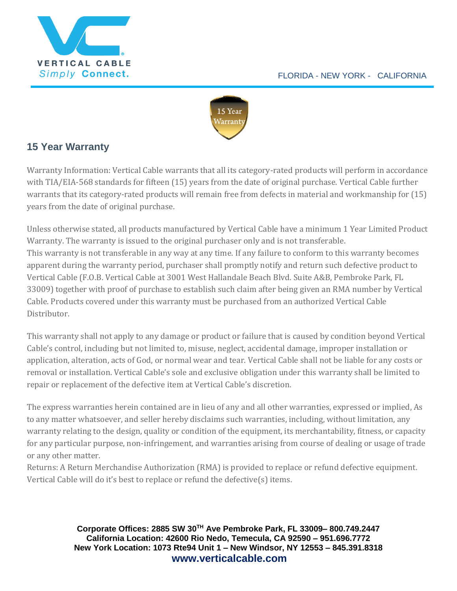



## **15 Year Warranty**

Warranty Information: Vertical Cable warrants that all its category-rated products will perform in accordance with TIA/EIA-568 standards for fifteen (15) years from the date of original purchase. Vertical Cable further warrants that its category-rated products will remain free from defects in material and workmanship for (15) years from the date of original purchase.

Unless otherwise stated, all products manufactured by Vertical Cable have a minimum 1 Year Limited Product Warranty. The warranty is issued to the original purchaser only and is not transferable. This warranty is not transferable in any way at any time. If any failure to conform to this warranty becomes apparent during the warranty period, purchaser shall promptly notify and return such defective product to Vertical Cable (F.O.B. Vertical Cable at 3001 West Hallandale Beach Blvd. Suite A&B, Pembroke Park, FL 33009) together with proof of purchase to establish such claim after being given an RMA number by Vertical Cable. Products covered under this warranty must be purchased from an authorized Vertical Cable Distributor.

This warranty shall not apply to any damage or product or failure that is caused by condition beyond Vertical Cable's control, including but not limited to, misuse, neglect, accidental damage, improper installation or application, alteration, acts of God, or normal wear and tear. Vertical Cable shall not be liable for any costs or removal or installation. Vertical Cable's sole and exclusive obligation under this warranty shall be limited to repair or replacement of the defective item at Vertical Cable's discretion.

The express warranties herein contained are in lieu of any and all other warranties, expressed or implied, As to any matter whatsoever, and seller hereby disclaims such warranties, including, without limitation, any warranty relating to the design, quality or condition of the equipment, its merchantability, fitness, or capacity for any particular purpose, non-infringement, and warranties arising from course of dealing or usage of trade or any other matter.

Returns: A Return Merchandise Authorization (RMA) is provided to replace or refund defective equipment. Vertical Cable will do it's best to replace or refund the defective(s) items.

> **Corporate Offices: 2885 SW 30TH Ave Pembroke Park, FL 33009– 800.749.2447 California Location: 42600 Rio Nedo, Temecula, CA 92590 – 951.696.7772 New York Location: 1073 Rte94 Unit 1 – New Windsor, NY 12553 – 845.391.8318 www.verticalcable.com**